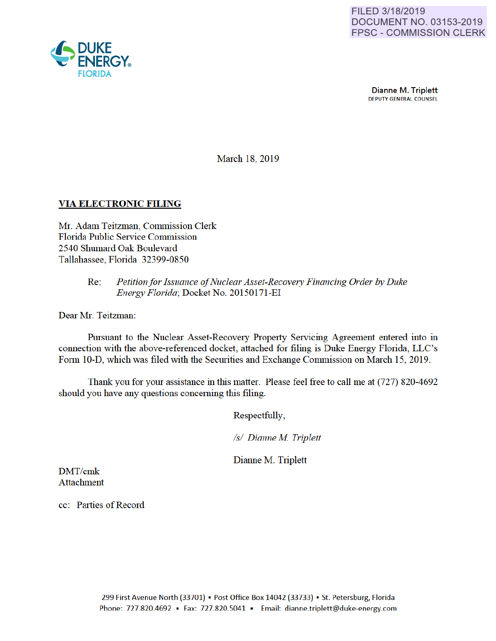

**Dianne M. Triplett**<br>DEPUTY GENERAL COUNSEL

March 18, 2019

# VIA ELECTRONIC FILING

Mr. Adam Teitzman, Commission Clerk Florida Public Service Commission 2540 Shumard Oak Boulevard Tallahassee, Florida 32399-0850

### Re: *Petition for Issuance of Nuclear Asset-Recovery Financing Order by Duke Energy Florida;* Docket No. 20150171-EI

Dear Mr. Teitzman:

Pursuant to the Nuclear Asset-Recovery Property Servicing Agreement entered into in connection with the above-referenced docket, attached for filing is Duke Energy Florida, LLC's Fonn 10-D, which was filed with the Securities and Exchange Commission on March 15, 2019.

Thank you for your assistance in this matter. Please feel free to call me at (727) 820-4692 should you have any questions conceming this filing.

Respectfully,

*Is/ Dianne M Triplett* 

Dianne M. Triplett

DMT/cmk Attachment

cc: Patties of Record

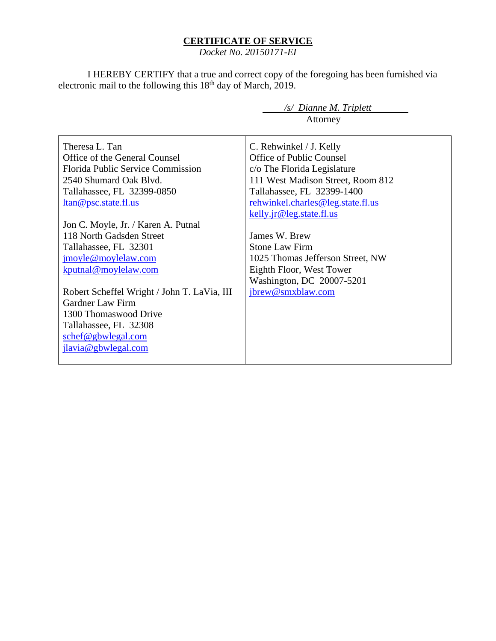### **CERTIFICATE OF SERVICE**

*Docket No. 20150171-EI*

I HEREBY CERTIFY that a true and correct copy of the foregoing has been furnished via electronic mail to the following this 18<sup>th</sup> day of March, 2019.

> */s/ Dianne M. Triplett* Attorney

Theresa L. Tan Office of the General Counsel Florida Public Service Commission 2540 Shumard Oak Blvd. Tallahassee, FL 32399-0850 ltan@psc.state.fl.us Jon C. Moyle, Jr. / Karen A. Putnal 118 North Gadsden Street Tallahassee, FL 32301 jmoyle@moylelaw.com kputnal@moylelaw.com Robert Scheffel Wright / John T. LaVia, III Gardner Law Firm 1300 Thomaswood Drive Tallahassee, FL 32308 schef@gbwlegal.com jlavia@gbwlegal.com C. Rehwinkel / J. Kelly Office of Public Counsel c/o The Florida Legislature 111 West Madison Street, Room 812 Tallahassee, FL 32399-1400 rehwinkel.charles@leg.state.fl.us kelly.jr@leg.state.fl.us James W. Brew Stone Law Firm 1025 Thomas Jefferson Street, NW Eighth Floor, West Tower Washington, DC 20007-5201 jbrew@smxblaw.com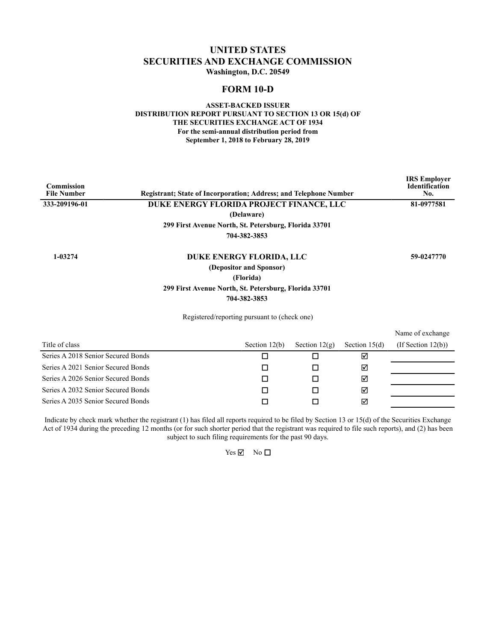### **UNITED STATES SECURITIES AND EXCHANGE COMMISSION Washington, D.C. 20549**

### **FORM 10-D**

#### **ASSET-BACKED ISSUER DISTRIBUTION REPORT PURSUANT TO SECTION 13 OR 15(d) OF THE SECURITIES EXCHANGE ACT OF 1934 For the semi-annual distribution period from September 1, 2018 to February 28, 2019**

| Commission<br><b>File Number</b>                            | <b>Registrant: State of Incorporation: Address: and Telephone Number</b> |                          |                 |                 | <b>IRS</b> Employer<br><b>Identification</b><br>No. |
|-------------------------------------------------------------|--------------------------------------------------------------------------|--------------------------|-----------------|-----------------|-----------------------------------------------------|
| 333-209196-01                                               | DUKE ENERGY FLORIDA PROJECT FINANCE, LLC                                 |                          |                 |                 | 81-0977581                                          |
|                                                             |                                                                          | (Delaware)               |                 |                 |                                                     |
|                                                             | 299 First Avenue North, St. Petersburg, Florida 33701                    |                          |                 |                 |                                                     |
|                                                             |                                                                          | 704-382-3853             |                 |                 |                                                     |
| 1-03274                                                     |                                                                          | DUKE ENERGY FLORIDA, LLC |                 |                 | 59-0247770                                          |
|                                                             |                                                                          | (Depositor and Sponsor)  |                 |                 |                                                     |
|                                                             |                                                                          | (Florida)                |                 |                 |                                                     |
|                                                             | 299 First Avenue North, St. Petersburg, Florida 33701                    |                          |                 |                 |                                                     |
|                                                             |                                                                          | 704-382-3853             |                 |                 |                                                     |
|                                                             | Registered/reporting pursuant to (check one)                             |                          |                 |                 |                                                     |
|                                                             |                                                                          |                          |                 |                 | Name of exchange                                    |
| Title of class                                              |                                                                          | Section $12(b)$          | Section $12(g)$ | Section $15(d)$ | $($ If Section 12 $(b)$ $)$                         |
| Series A 2018 Senior Secured Bonds                          |                                                                          | п                        | п               | ☑               |                                                     |
| $G_{\text{univ}} \wedge 2021$ $G_{\text{univ}} \wedge 2021$ |                                                                          | −                        | −               | ▱               |                                                     |

| Series A 2021 Senior Secured Bonds |  | $\mathsf{M}$ |  |
|------------------------------------|--|--------------|--|
| Series A 2026 Senior Secured Bonds |  |              |  |
| Series A 2032 Senior Secured Bonds |  | ⋈            |  |
| Series A 2035 Senior Secured Bonds |  | ⊠            |  |

Indicate by check mark whether the registrant (1) has filed all reports required to be filed by Section 13 or 15(d) of the Securities Exchange Act of 1934 during the preceding 12 months (or for such shorter period that the registrant was required to file such reports), and (2) has been subject to such filing requirements for the past 90 days.

 $Yes \nightharpoonup$  No  $\Box$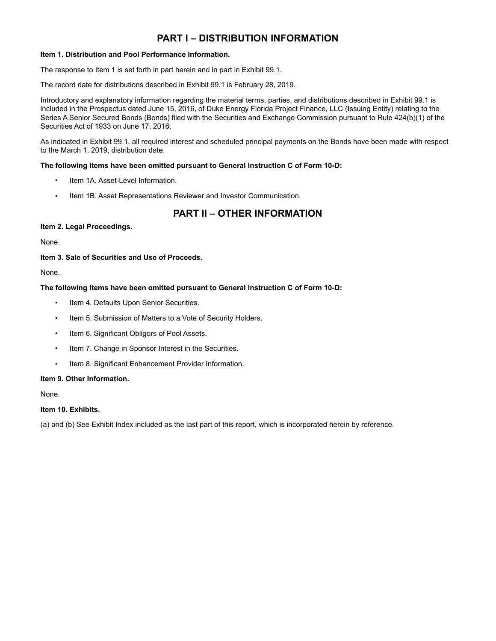# **PART I – DISTRIBUTION INFORMATION**

#### **Item 1. Distribution and Pool Performance Information.**

The response to Item 1 is set forth in part herein and in part in Exhibit 99.1.

The record date for distributions described in Exhibit 99.1 is February 28, 2019.

Introductory and explanatory information regarding the material terms, parties, and distributions described in Exhibit 99.1 is included in the Prospectus dated June 15, 2016, of Duke Energy Florida Project Finance, LLC (Issuing Entity) relating to the Series A Senior Secured Bonds (Bonds) filed with the Securities and Exchange Commission pursuant to Rule 424(b)(1) of the Securities Act of 1933 on June 17, 2016.

As indicated in Exhibit 99.1, all required interest and scheduled principal payments on the Bonds have been made with respect to the March 1, 2019, distribution date.

#### **The following Items have been omitted pursuant to General Instruction C of Form 10-D:**

- Item 1A. Asset-Level Information.
- Item 1B. Asset Representations Reviewer and Investor Communication.

# **PART II – OTHER INFORMATION**

#### **Item 2. Legal Proceedings.**

None.

#### **Item 3. Sale of Securities and Use of Proceeds.**

None.

#### **The following Items have been omitted pursuant to General Instruction C of Form 10-D:**

- Item 4. Defaults Upon Senior Securities.
- Item 5. Submission of Matters to a Vote of Security Holders.
- Item 6. Significant Obligors of Pool Assets.
- Item 7. Change in Sponsor Interest in the Securities.
- Item 8. Significant Enhancement Provider Information.

#### **Item 9. Other Information.**

None.

#### **Item 10. Exhibits.**

(a) and (b) See Exhibit Index included as the last part of this report, which is incorporated herein by reference.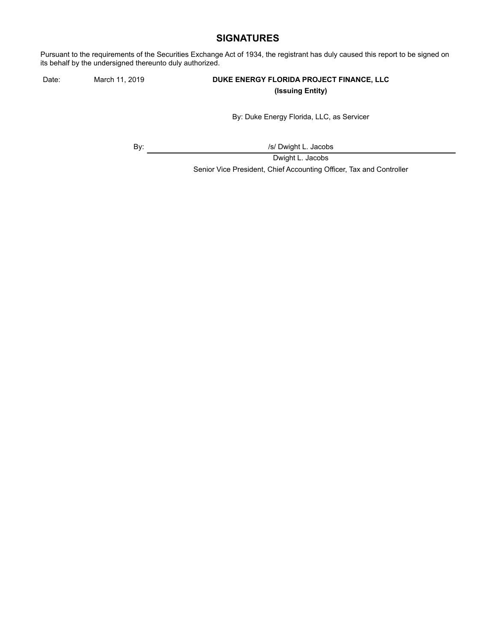### **SIGNATURES**

Pursuant to the requirements of the Securities Exchange Act of 1934, the registrant has duly caused this report to be signed on its behalf by the undersigned thereunto duly authorized.

### Date: March 11, 2019 **DUKE ENERGY FLORIDA PROJECT FINANCE, LLC (Issuing Entity)**

By: Duke Energy Florida, LLC, as Servicer

By:  $\sqrt{s}$  Dwight L. Jacobs

Dwight L. Jacobs Senior Vice President, Chief Accounting Officer, Tax and Controller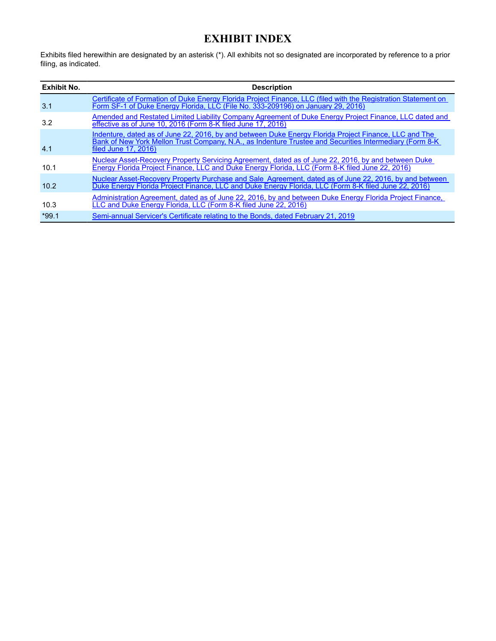# **EXHIBIT INDEX**

Exhibits filed herewithin are designated by an asterisk (\*). All exhibits not so designated are incorporated by reference to a prior filing, as indicated.

| <b>Exhibit No.</b> | <b>Description</b>                                                                                                                                                                                                                       |
|--------------------|------------------------------------------------------------------------------------------------------------------------------------------------------------------------------------------------------------------------------------------|
| 3.1                | Certificate of Formation of Duke Energy Florida Project Finance, LLC (filed with the Registration Statement on<br>Form SF-1 of Duke Energy Florida, LLC (File No. 333-209196) on January 29, 2016)                                       |
| 3.2                | Amended and Restated Limited Liability Company Agreement of Duke Energy Project Finance, LLC dated and<br>effective as of June 10, 2016 (Form 8-K filed June 17, 2016)                                                                   |
| 4.1                | Indenture, dated as of June 22, 2016, by and between Duke Energy Florida Project Finance, LLC and The<br>Bank of New York Mellon Trust Company, N.A., as Indenture Trustee and Securities Intermediary (Form 8-K<br>filed June 17, 2016) |
| 10.1               | Nuclear Asset-Recovery Property Servicing Agreement, dated as of June 22, 2016, by and between Duke<br>Energy Florida Project Finance, LLC and Duke Energy Florida, LLC (Form 8-K filed June 22, 2016)                                   |
| 10.2               | Nuclear Asset-Recovery Property Purchase and Sale Agreement, dated as of June 22, 2016, by and between<br>Duke Energy Florida Project Finance, LLC and Duke Energy Florida, LLC (Form 8-K filed June 22, 2016)                           |
| 10.3               | Administration Agreement, dated as of June 22, 2016, by and between Duke Energy Florida Project Finance,<br>LLC and Duke Energy Florida, LLC (Form 8-K filed June 22, 2016)                                                              |
| $*99.1$            | Semi-annual Servicer's Certificate relating to the Bonds, dated February 21, 2019                                                                                                                                                        |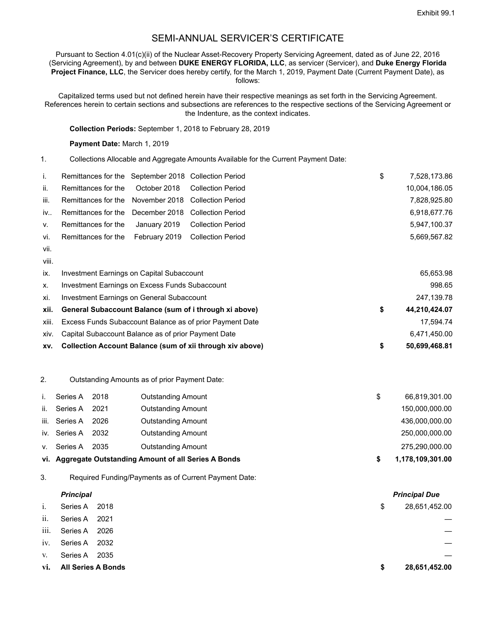# SEMI-ANNUAL SERVICER'S CERTIFICATE

Pursuant to Section 4.01(c)(ii) of the Nuclear Asset-Recovery Property Servicing Agreement, dated as of June 22, 2016 (Servicing Agreement), by and between **DUKE ENERGY FLORIDA, LLC**, as servicer (Servicer), and **Duke Energy Florida Project Finance, LLC**, the Servicer does hereby certify, for the March 1, 2019, Payment Date (Current Payment Date), as follows:

Capitalized terms used but not defined herein have their respective meanings as set forth in the Servicing Agreement. References herein to certain sections and subsections are references to the respective sections of the Servicing Agreement or the Indenture, as the context indicates.

**Collection Periods:** September 1, 2018 to February 28, 2019

**Payment Date:** March 1, 2019

1. Collections Allocable and Aggregate Amounts Available for the Current Payment Date:

| j.   | Remittances for the September 2018 Collection Period |  | \$<br>7,528,173.86 |
|------|------------------------------------------------------|--|--------------------|
| ii.  | Remittances for the October 2018 Collection Period   |  | 10,004,186.05      |
| iii. | Remittances for the November 2018 Collection Period  |  | 7,828,925.80       |
| iv   | Remittances for the December 2018 Collection Period  |  | 6,918,677.76       |
| V.   | Remittances for the January 2019 Collection Period   |  | 5.947.100.37       |
| vi.  | Remittances for the February 2019 Collection Period  |  | 5,669,567.82       |
| vii. |                                                      |  |                    |

viii.

| XV.   | Collection Account Balance (sum of xii through xiv above) | 50.699.468.81       |
|-------|-----------------------------------------------------------|---------------------|
| XIV.  | Capital Subaccount Balance as of prior Payment Date       | 6.471.450.00        |
| xiii. | Excess Funds Subaccount Balance as of prior Payment Date  | 17.594.74           |
| xii.  | General Subaccount Balance (sum of i through xi above)    | \$<br>44.210.424.07 |
| xi.   | Investment Earnings on General Subaccount                 | 247,139.78          |
| Х.    | Investment Earnings on Excess Funds Subaccount            | 998.65              |
| ix.   | Investment Earnings on Capital Subaccount                 | 65,653.98           |

2. Outstanding Amounts as of prior Payment Date:

|      |              |      | vi. Aggregate Outstanding Amount of all Series A Bonds |   | 1,178,109,301.00 |
|------|--------------|------|--------------------------------------------------------|---|------------------|
| V.   | Series A     | 2035 | <b>Outstanding Amount</b>                              |   | 275,290,000.00   |
|      | iv. Series A | 2032 | <b>Outstanding Amount</b>                              |   | 250,000,000.00   |
| iii. | Series A     | 2026 | <b>Outstanding Amount</b>                              |   | 436,000,000.00   |
| ii.  | Series A     | 2021 | <b>Outstanding Amount</b>                              |   | 150,000,000.00   |
|      | Series A     | 2018 | <b>Outstanding Amount</b>                              | S | 66,819,301.00    |

3. Required Funding/Payments as of Current Payment Date:

|      | <b>Principal</b>          |      |    | <b>Principal Due</b> |
|------|---------------------------|------|----|----------------------|
| 1.   | Series A                  | 2018 | \$ | 28,651,452.00        |
| ii.  | Series A                  | 2021 |    |                      |
| iii. | Series A                  | 2026 |    |                      |
| 1V.  | Series A                  | 2032 |    |                      |
| V.   | Series A                  | 2035 |    |                      |
| vi.  | <b>All Series A Bonds</b> |      | S  | 28,651,452.00        |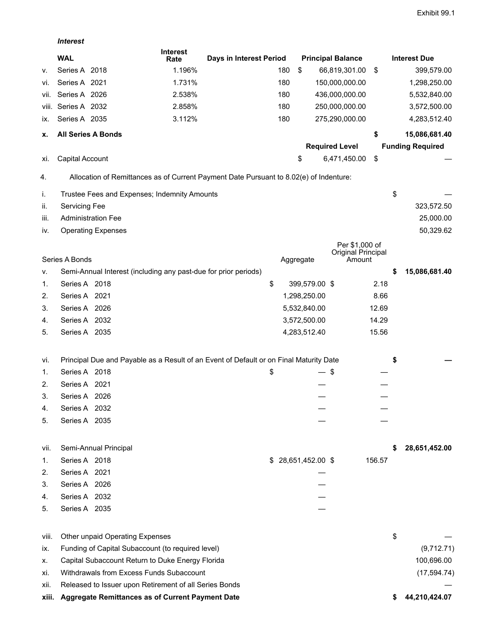*Interest*

|       | <b>WAL</b>                                                                             | <b>Interest</b><br>Rate | Days in Interest Period |     |                     | <b>Principal Balance</b>     |        | <b>Interest Due</b>     |
|-------|----------------------------------------------------------------------------------------|-------------------------|-------------------------|-----|---------------------|------------------------------|--------|-------------------------|
| ۷.    | Series A 2018                                                                          | 1.196%                  |                         | 180 | \$                  | 66,819,301.00                | \$     | 399,579.00              |
| VI.   | Series A 2021                                                                          | 1.731%                  |                         | 180 |                     | 150,000,000.00               |        | 1,298,250.00            |
| VII.  | Series A 2026                                                                          | 2.538%                  |                         | 180 |                     | 436,000,000.00               |        | 5,532,840.00            |
| VIII. | Series A 2032                                                                          | 2.858%                  |                         | 180 |                     | 250,000,000.00               |        | 3,572,500.00            |
| IX.   | Series A 2035                                                                          | 3.112%                  |                         | 180 |                     | 275,290,000.00               |        | 4,283,512.40            |
| х.    | <b>All Series A Bonds</b>                                                              |                         |                         |     |                     |                              | \$     | 15,086,681.40           |
|       |                                                                                        |                         |                         |     |                     | <b>Required Level</b>        |        | <b>Funding Required</b> |
| XI.   | Capital Account                                                                        |                         |                         |     | \$                  | 6,471,450.00                 | \$     |                         |
| 4.    | Allocation of Remittances as of Current Payment Date Pursuant to 8.02(e) of Indenture: |                         |                         |     |                     |                              |        |                         |
| İ.    | Trustee Fees and Expenses; Indemnity Amounts                                           |                         |                         |     |                     |                              |        | \$                      |
| ii.   | Servicing Fee                                                                          |                         |                         |     |                     |                              |        | 323,572.50              |
| iii.  | <b>Administration Fee</b>                                                              |                         |                         |     |                     |                              |        | 25,000.00               |
| IV.   | <b>Operating Expenses</b>                                                              |                         |                         |     |                     |                              |        | 50,329.62               |
|       |                                                                                        |                         |                         |     |                     | Per \$1,000 of               |        |                         |
|       | Series A Bonds                                                                         |                         |                         |     | Aggregate           | Original Principal<br>Amount |        |                         |
| ۷.    | Semi-Annual Interest (including any past-due for prior periods)                        |                         |                         |     |                     |                              |        | \$<br>15,086,681.40     |
| 1.    | Series A 2018                                                                          |                         |                         | \$  | 399,579.00 \$       |                              | 2.18   |                         |
| 2.    | Series A 2021                                                                          |                         |                         |     | 1,298,250.00        |                              | 8.66   |                         |
| 3.    | Series A 2026                                                                          |                         |                         |     | 5,532,840.00        |                              | 12.69  |                         |
| 4.    | Series A 2032                                                                          |                         |                         |     | 3,572,500.00        |                              | 14.29  |                         |
| 5.    | Series A 2035                                                                          |                         |                         |     | 4,283,512.40        |                              | 15.56  |                         |
|       |                                                                                        |                         |                         |     |                     |                              |        |                         |
| Vİ.   | Principal Due and Payable as a Result of an Event of Default or on Final Maturity Date |                         |                         |     |                     |                              |        | \$                      |
| 1.    | Series A 2018                                                                          |                         |                         | \$  |                     | — \$                         |        |                         |
| 2.    | Series A 2021                                                                          |                         |                         |     |                     |                              |        |                         |
| 3.    | Series A 2026                                                                          |                         |                         |     |                     |                              |        |                         |
| 4.    | Series A 2032                                                                          |                         |                         |     |                     |                              |        |                         |
| 5.    | Series A 2035                                                                          |                         |                         |     |                     |                              |        |                         |
| VII.  | Semi-Annual Principal                                                                  |                         |                         |     |                     |                              |        | 28,651,452.00           |
| 1.    | Series A 2018                                                                          |                         |                         |     | $$28,651,452.00$ \$ |                              | 156.57 |                         |
| 2.    | Series A 2021                                                                          |                         |                         |     |                     |                              |        |                         |
| 3.    | Series A 2026                                                                          |                         |                         |     |                     |                              |        |                         |
| 4.    | Series A 2032                                                                          |                         |                         |     |                     |                              |        |                         |
| 5.    | Series A 2035                                                                          |                         |                         |     |                     |                              |        |                         |
|       |                                                                                        |                         |                         |     |                     |                              |        |                         |
| viii. | Other unpaid Operating Expenses                                                        |                         |                         |     |                     |                              |        | \$                      |
| IX.   | Funding of Capital Subaccount (to required level)                                      |                         |                         |     |                     |                              |        | (9,712.71)              |
| х.    | Capital Subaccount Return to Duke Energy Florida                                       |                         |                         |     |                     |                              |        | 100,696.00              |
| Xİ.   | Withdrawals from Excess Funds Subaccount                                               |                         |                         |     |                     |                              |        | (17, 594.74)            |
| XII.  | Released to Issuer upon Retirement of all Series Bonds                                 |                         |                         |     |                     |                              |        |                         |
| xiii. | Aggregate Remittances as of Current Payment Date                                       |                         |                         |     |                     |                              |        | 44,210,424.07           |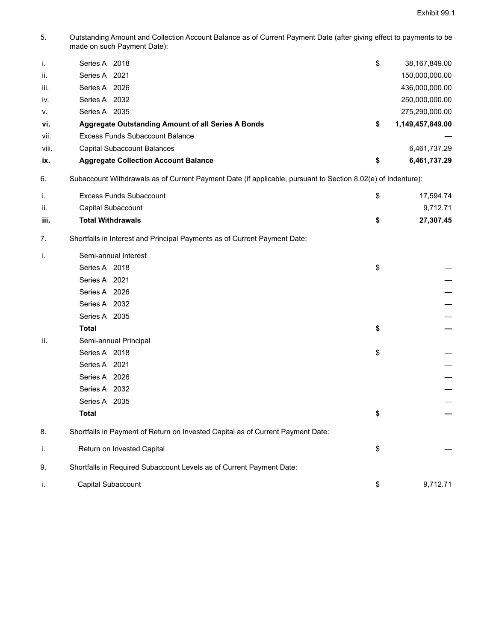5. Outstanding Amount and Collection Account Balance as of Current Payment Date (after giving effect to payments to be made on such Payment Date):

| i.    | Series A 2018                                      | \$<br>38,167,849.00 |
|-------|----------------------------------------------------|---------------------|
| ii.   | Series A 2021                                      | 150,000,000.00      |
| iii.  | Series A 2026                                      | 436,000,000.00      |
| iv.   | Series A 2032                                      | 250,000,000.00      |
| V.    | Series A 2035                                      | 275,290,000.00      |
| vi.   | Aggregate Outstanding Amount of all Series A Bonds | 1,149,457,849.00    |
| vii.  | Excess Funds Subaccount Balance                    |                     |
| viii. | Capital Subaccount Balances                        | 6,461,737.29        |
| ix.   | <b>Aggregate Collection Account Balance</b>        | 6.461.737.29        |

6. Subaccount Withdrawals as of Current Payment Date (if applicable, pursuant to Section 8.02(e) of Indenture):

|      | Excess Funds Subaccount  | 17,594.74 |
|------|--------------------------|-----------|
| ii.  | Capital Subaccount       | 9,712.71  |
| iii. | <b>Total Withdrawals</b> | 27,307.45 |

7. Shortfalls in Interest and Principal Payments as of Current Payment Date:

| j.  | Semi-annual Interest                                                            |                |
|-----|---------------------------------------------------------------------------------|----------------|
|     | Series A 2018                                                                   | \$             |
|     | Series A 2021                                                                   |                |
|     | Series A 2026                                                                   |                |
|     | Series A 2032                                                                   |                |
|     | Series A 2035                                                                   |                |
|     | <b>Total</b>                                                                    | \$             |
| ii. | Semi-annual Principal                                                           |                |
|     | Series A 2018                                                                   | \$             |
|     | Series A 2021                                                                   |                |
|     | Series A 2026                                                                   |                |
|     | Series A 2032                                                                   |                |
|     | Series A 2035                                                                   |                |
|     | <b>Total</b>                                                                    | \$             |
| 8.  | Shortfalls in Payment of Return on Invested Capital as of Current Payment Date: |                |
| i.  | Return on Invested Capital                                                      | \$             |
| 9.  | Shortfalls in Required Subaccount Levels as of Current Payment Date:            |                |
| Τ.  | Capital Subaccount                                                              | \$<br>9,712.71 |